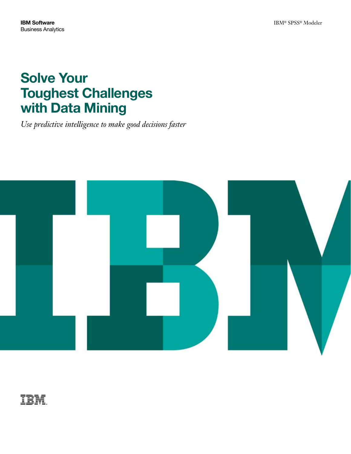# Solve Your Toughest Challenges with Data Mining

*Use predictive intelligence to make good decisions faster*



IBM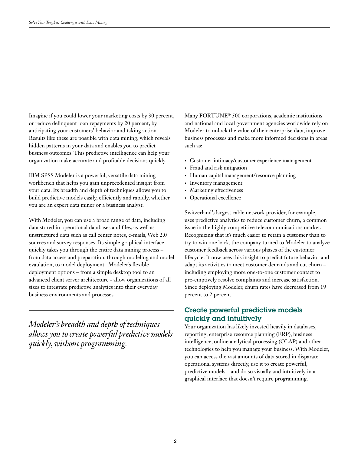Imagine if you could lower your marketing costs by 30 percent, or reduce delinquent loan repayments by 20 percent, by anticipating your customers' behavior and taking action. Results like these are possible with data mining, which reveals hidden patterns in your data and enables you to predict business outcomes. This predictive intelligence can help your organization make accurate and profitable decisions quickly.

IBM SPSS Modeler is a powerful, versatile data mining workbench that helps you gain unprecedented insight from your data. Its breadth and depth of techniques allows you to build predictive models easily, efficiently and rapidly, whether you are an expert data miner or a business analyst.

With Modeler, you can use a broad range of data, including data stored in operational databases and files, as well as unstructured data such as call center notes, e-mails, Web 2.0 sources and survey responses. Its simple graphical interface quickly takes you through the entire data mining process – from data access and preparation, through modeling and model evaulation, to model deployment. Modeler's flexible deployment options – from a simple desktop tool to an advanced client server architecture - allow organizations of all sizes to integrate predictive analytics into their everyday business environments and processes.

*Modeler's breadth and depth of techniques allows you to create powerful predictive models quickly, without programming.*

Many FORTUNE® 500 corporations, academic institutions and national and local government agencies worldwide rely on Modeler to unlock the value of their enterprise data, improve business processes and make more informed decisions in areas such as:

- • Customer intimacy/customer experience management
- Fraud and risk mitigation
- Human capital management/resource planning
- • Inventory management
- Marketing effectiveness
- Operational excellence

Switzerland's largest cable network provider, for example, uses predictive analytics to reduce customer churn, a common issue in the highly competitive telecommunications market. Recognizing that it's much easier to retain a customer than to try to win one back, the company turned to Modeler to analyze customer feedback across various phases of the customer lifecycle. It now uses this insight to predict future behavior and adapt its activities to meet customer demands and cut churn – including employing more one-to-one customer contact to pre-emptively resolve complaints and increase satisfaction. Since deploying Modeler, churn rates have decreased from 19 percent to 2 percent.

# Create powerful predictive models quickly and intuitively

Your organization has likely invested heavily in databases, reporting, enterprise resource planning (ERP), business intelligence, online analytical processing (OLAP) and other technologies to help you manage your business. With Modeler, you can access the vast amounts of data stored in disparate operational systems directly, use it to create powerful, predictive models – and do so visually and intuitively in a graphical interface that doesn't require programming.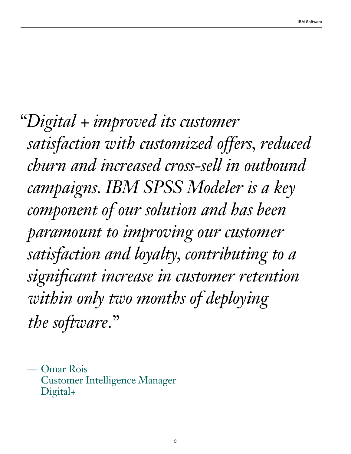*"Digital + improved its customer satisfaction with customized offers, reduced churn and increased cross-sell in outbound campaigns. IBM SPSS Modeler is a key component of our solution and has been paramount to improving our customer satisfaction and loyalty, contributing to a significant increase in customer retention within only two months of deploying the software."*

— Omar Rois Customer Intelligence Manager Digital+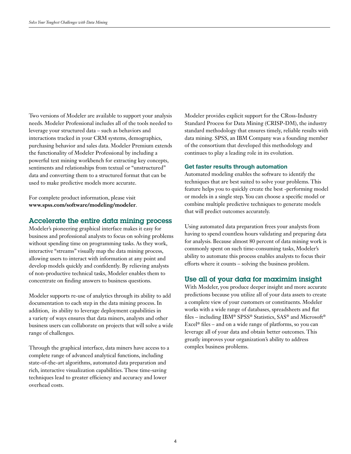Two versions of Modeler are available to support your analysis needs. Modeler Professional includes all of the tools needed to leverage your structured data – such as behaviors and interactions tracked in your CRM systems, demographics, purchasing behavior and sales data. Modeler Premium extends the functionality of Modeler Professional by including a powerful text mining workbench for extracting key concepts, sentiments and relationships from textual or "unstructured" data and converting them to a structured format that can be used to make predictive models more accurate.

For complete product information, please visit **www.spss.com/software/modeling/modeler**.

## Accelerate the entire data mining process

Modeler's pioneering graphical interface makes it easy for business and professional analysts to focus on solving problems without spending time on programming tasks. As they work, interactive "streams" visually map the data mining process, allowing users to interact with information at any point and develop models quickly and confidently. By relieving analysts of non-productive technical tasks, Modeler enables them to concentrate on finding answers to business questions.

Modeler supports re-use of analytics through its ability to add documentation to each step in the data mining process. In addition, its ability to leverage deployment capabilities in a variety of ways ensures that data miners, analysts and other business users can collaborate on projects that will solve a wide range of challenges.

Through the graphical interface, data miners have access to a complete range of advanced analytical functions, including state-of-the-art algorithms, automated data preparation and rich, interactive visualization capabilities. These time-saving techniques lead to greater efficiency and accuracy and lower overhead costs.

Modeler provides explicit support for the CRoss-Industry Standard Process for Data Mining (CRISP-DM), the industry standard methodology that ensures timely, reliable results with data mining. SPSS, an IBM Company was a founding member of the consortium that developed this methodology and continues to play a leading role in its evolution.

#### Get faster results through automation

Automated modeling enables the software to identify the techniques that are best suited to solve your problems. This feature helps you to quickly create the best -performing model or models in a single step. You can choose a specific model or combine multiple predictive techniques to generate models that will predict outcomes accurately.

Using automated data preparation frees your analysts from having to spend countless hours validating and preparing data for analysis. Because almost 80 percent of data mining work is commonly spent on such time-consuming tasks, Modeler's ability to automate this process enables analysts to focus their efforts where it counts – solving the business problem.

## Use all of your data for maximim insight

With Modeler, you produce deeper insight and more accurate predictions because you utilize all of your data assets to create a complete view of your customers or constituents. Modeler works with a wide range of databases, spreadsheets and flat files – including IBM® SPSS® Statistics, SAS® and Microsoft® Excel® files – and on a wide range of platforms, so you can leverage all of your data and obtain better outcomes. This greatly improves your organization's ability to address complex business problems.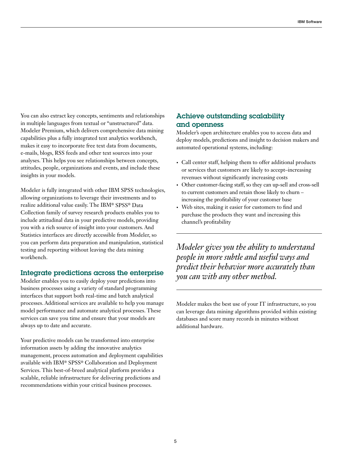You can also extract key concepts, sentiments and relationships in multiple languages from textual or "unstructured" data. Modeler Premium, which delivers comprehensive data mining capabilities plus a fully integrated text analytics workbench, makes it easy to incorporate free text data from documents, e-mails, blogs, RSS feeds and other text sources into your analyses. This helps you see relationships between concepts, attitudes, people, organizations and events, and include these insights in your models.

Modeler is fully integrated with other IBM SPSS technologies, allowing organizations to leverage their investments and to realize additional value easily. The IBM® SPSS® Data Collection family of survey research products enables you to include attitudinal data in your predictive models, providing you with a rich source of insight into your customers. And Statistics interfaces are directly accessible from Modeler, so you can perform data preparation and manipulation, statistical testing and reporting without leaving the data mining workbench.

## Integrate predictions across the enterprise

Modeler enables you to easily deploy your predictions into business processes using a variety of standard programming interfaces that support both real-time and batch analytical processes. Additional services are available to help you manage model performance and automate analytical processes. These services can save you time and ensure that your models are always up to date and accurate.

Your predictive models can be transformed into enterprise information assets by adding the innovative analytics management, process automation and deployment capabilities available with IBM® SPSS® Collaboration and Deployment Services. This best-of-breed analytical platform provides a scalable, reliable infrastructure for delivering predictions and recommendations within your critical business processes.

## Achieve outstanding scalability and openness

Modeler's open architecture enables you to access data and deploy models, predictions and insight to decision makers and automated operational systems, including:

- • Call center staff, helping them to offer additional products or services that customers are likely to accept–increasing revenues without significantly increasing costs
- • Other customer-facing staff, so they can up-sell and cross-sell to current customers and retain those likely to churn – increasing the profitability of your customer base
- • Web sites, making it easier for customers to find and purchase the products they want and increasing this channel's profitability

*Modeler gives you the ability to understand people in more subtle and useful ways and predict their behavior more accurately than you can with any other method.*

Modeler makes the best use of your IT infrastructure, so you can leverage data mining algorithms provided within existing databases and score many records in minutes without additional hardware.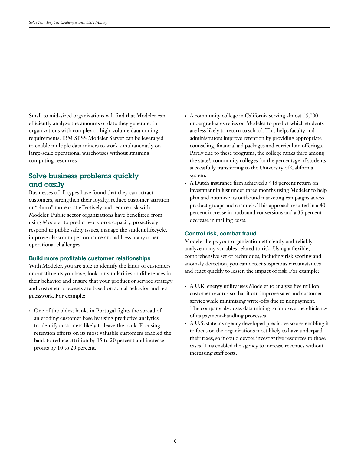Small to mid-sized organizations will find that Modeler can efficiently analyze the amounts of date they generate. In organizations with complex or high-volume data mining requirements, IBM SPSS Modeler Server can be leveraged to enable multiple data miners to work simultaneously on large-scale operational warehouses without straining computing resources.

# Solve business problems quickly and easily

Businesses of all types have found that they can attract customers, strengthen their loyalty, reduce customer attrition or "churn" more cost effectively and reduce risk with Modeler. Public sector organizations have benefitted from using Modeler to predict workforce capacity, proactively respond to public safety issues, manage the student lifecycle, improve classroom performance and address many other operational challenges.

### Build more profitable customer relationships

With Modeler, you are able to identify the kinds of customers or constituents you have, look for similarities or differences in their behavior and ensure that your product or service strategy and customer processes are based on actual behavior and not guesswork. For example:

• One of the oldest banks in Portugal fights the spread of an eroding customer base by using predictive analytics to identify customers likely to leave the bank. Focusing retention efforts on its most valuable customers enabled the bank to reduce attrition by 15 to 20 percent and increase profits by 10 to 20 percent.

- • A community college in California serving almost 15,000 undergraduates relies on Modeler to predict which students are less likely to return to school. This helps faculty and administrators improve retention by providing appropriate counseling, financial aid packages and curriculum offerings. Partly due to these programs, the college ranks third among the state's community colleges for the percentage of students successfully transferring to the University of California system.
- • A Dutch insurance firm achieved a 448 percent return on investment in just under three months using Modeler to help plan and optimize its outbound marketing campaigns across product groups and channels. This approach resulted in a 40 percent increase in outbound conversions and a 35 percent decrease in mailing costs.

#### Control risk, combat fraud

Modeler helps your organization efficiently and reliably analyze many variables related to risk. Using a flexible, comprehensive set of techniques, including risk scoring and anomaly detection, you can detect suspicious circumstances and react quickly to lessen the impact of risk. For example:

- A U.K. energy utility uses Modeler to analyze five million customer records so that it can improve sales and customer service while minimizing write-offs due to nonpayment. The company also uses data mining to improve the efficiency of its payment-handling processes.
- • A U.S. state tax agency developed predictive scores enabling it to focus on the organizations most likely to have underpaid their taxes, so it could devote investigative resources to those cases. This enabled the agency to increase revenues without increasing staff costs.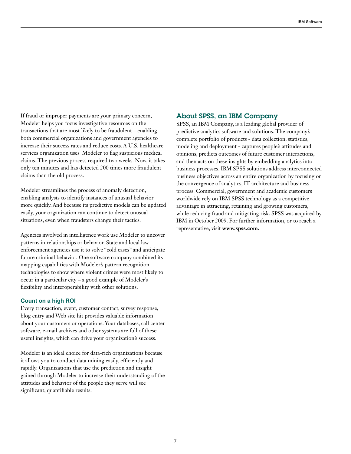If fraud or improper payments are your primary concern, Modeler helps you focus investigative resources on the transactions that are most likely to be fraudulent – enabling both commercial organizations and government agencies to increase their success rates and reduce costs. A U.S. healthcare services organization uses Modeler to flag suspicious medical claims. The previous process required two weeks. Now, it takes only ten minutes and has detected 200 times more fraudulent claims than the old process.

Modeler streamlines the process of anomaly detection, enabling analysts to identify instances of unusual behavior more quickly. And because its predictive models can be updated easily, your organization can continue to detect unusual situations, even when fraudsters change their tactics.

Agencies involved in intelligence work use Modeler to uncover patterns in relationships or behavior. State and local law enforcement agencies use it to solve "cold cases" and anticipate future criminal behavior. One software company combined its mapping capabilities with Modeler's pattern recognition technologies to show where violent crimes were most likely to occur in a particular city – a good example of Modeler's flexibility and interoperability with other solutions.

#### Count on a high ROI

Every transaction, event, customer contact, survey response, blog entry and Web site hit provides valuable information about your customers or operations. Your databases, call center software, e-mail archives and other systems are full of these useful insights, which can drive your organization's success.

Modeler is an ideal choice for data-rich organizations because it allows you to conduct data mining easily, efficiently and rapidly. Organizations that use the prediction and insight gained through Modeler to increase their understanding of the attitudes and behavior of the people they serve will see significant, quantifiable results.

## About SPSS, an IBM Company

SPSS, an IBM Company, is a leading global provider of predictive analytics software and solutions. The company's complete portfolio of products - data collection, statistics, modeling and deployment - captures people's attitudes and opinions, predicts outcomes of future customer interactions, and then acts on these insights by embedding analytics into business processes. IBM SPSS solutions address interconnected business objectives across an entire organization by focusing on the convergence of analytics, IT architecture and business process. Commercial, government and academic customers worldwide rely on IBM SPSS technology as a competitive advantage in attracting, retaining and growing customers, while reducing fraud and mitigating risk. SPSS was acquired by IBM in October 2009. For further information, or to reach a representative, visit **www.spss.com.**